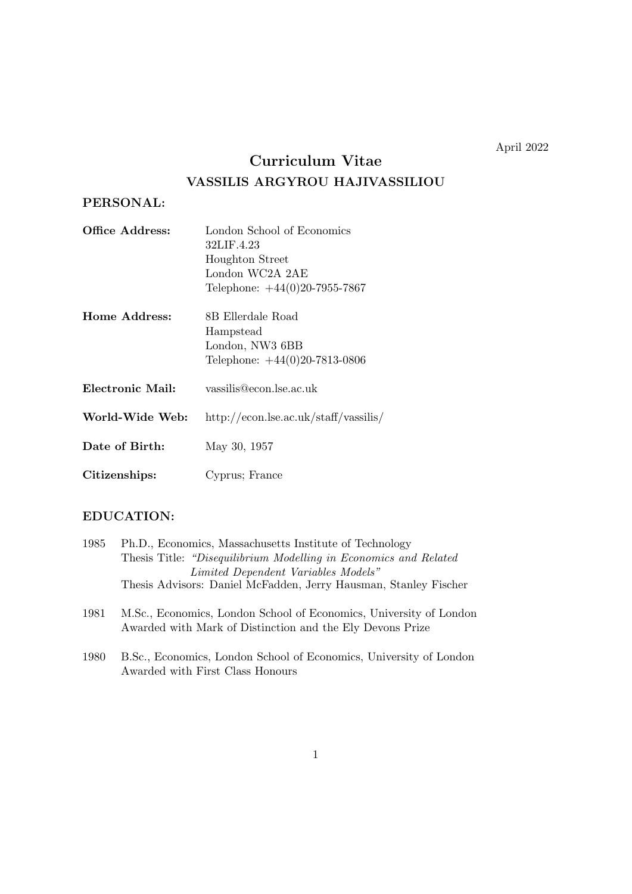April 2022

# **Curriculum Vitae VASSILIS ARGYROU HAJIVASSILIOU**

# **PERSONAL:**

| Office Address:  | London School of Economics                      |
|------------------|-------------------------------------------------|
|                  | 32LIF.4.23                                      |
|                  | <b>Houghton Street</b>                          |
|                  | London WC2A 2AE                                 |
|                  | Telephone: $+44(0)20-7955-7867$                 |
| Home Address:    | 8B Ellerdale Road                               |
|                  | Hampstead                                       |
|                  | London, NW3 6BB                                 |
|                  | Telephone: $+44(0)20-7813-0806$                 |
| Electronic Mail: | vassilis@econ.lse.ac.uk                         |
| World-Wide Web:  | $\frac{http://econ.lse.ac.uk/staff/vassilis/}{$ |
|                  |                                                 |

**Date of Birth:** May 30, 1957

**Citizenships:** Cyprus; France

# **EDUCATION:**

| 1985 | Ph.D., Economics, Massachusetts Institute of Technology           |
|------|-------------------------------------------------------------------|
|      | Thesis Title: "Disequilibrium Modelling in Economics and Related" |
|      | Limited Dependent Variables Models"                               |
|      | Thesis Advisors: Daniel McFadden, Jerry Hausman, Stanley Fischer  |

- 1981 M.Sc., Economics, London School of Economics, University of London Awarded with Mark of Distinction and the Ely Devons Prize
- 1980 B.Sc., Economics, London School of Economics, University of London Awarded with First Class Honours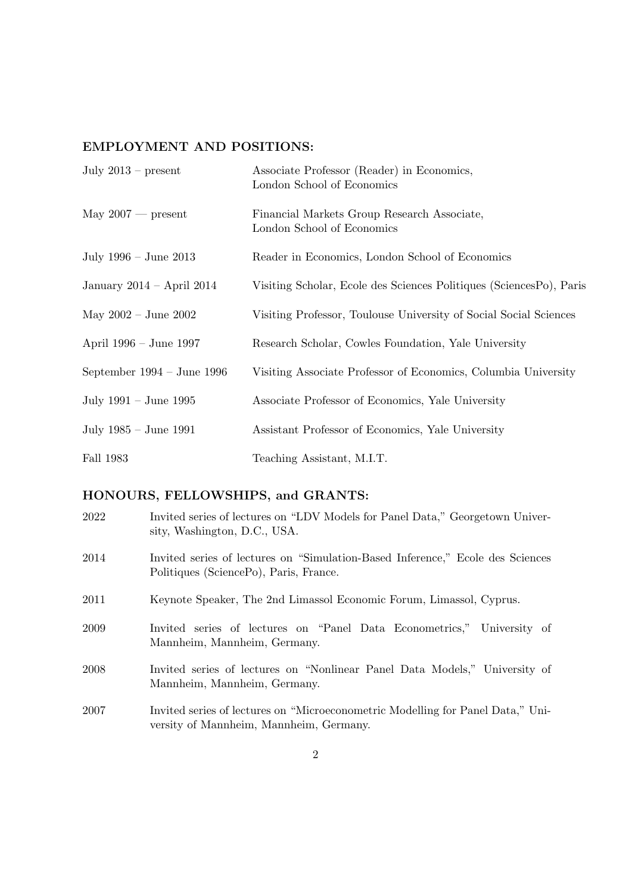# **EMPLOYMENT AND POSITIONS:**

| July $2013$ – present        | Associate Professor (Reader) in Economics,<br>London School of Economics  |
|------------------------------|---------------------------------------------------------------------------|
| May $2007$ — present         | Financial Markets Group Research Associate,<br>London School of Economics |
| July $1996 -$ June $2013$    | Reader in Economics, London School of Economics                           |
| January 2014 – April 2014    | Visiting Scholar, Ecole des Sciences Politiques (SciencesPo), Paris       |
| May $2002 -$ June $2002$     | Visiting Professor, Toulouse University of Social Social Sciences         |
| April 1996 – June 1997       | Research Scholar, Cowles Foundation, Yale University                      |
| September $1994 - June 1996$ | Visiting Associate Professor of Economics, Columbia University            |
| July $1991 -$ June $1995$    | Associate Professor of Economics, Yale University                         |
| July 1985 – June 1991        | Assistant Professor of Economics, Yale University                         |
| Fall 1983                    | Teaching Assistant, M.I.T.                                                |

# **HONOURS, FELLOWSHIPS, and GRANTS:**

| 2022 | Invited series of lectures on "LDV Models for Panel Data," Georgetown Univer-<br>sity, Washington, D.C., USA.              |
|------|----------------------------------------------------------------------------------------------------------------------------|
| 2014 | Invited series of lectures on "Simulation-Based Inference," Ecole des Sciences<br>Politiques (SciencePo), Paris, France.   |
| 2011 | Keynote Speaker, The 2nd Limassol Economic Forum, Limassol, Cyprus.                                                        |
| 2009 | Invited series of lectures on "Panel Data Econometrics," University of<br>Mannheim, Mannheim, Germany.                     |
| 2008 | Invited series of lectures on "Nonlinear Panel Data Models," University of<br>Mannheim, Mannheim, Germany.                 |
| 2007 | Invited series of lectures on "Microeconometric Modelling for Panel Data," Uni-<br>versity of Mannheim, Mannheim, Germany. |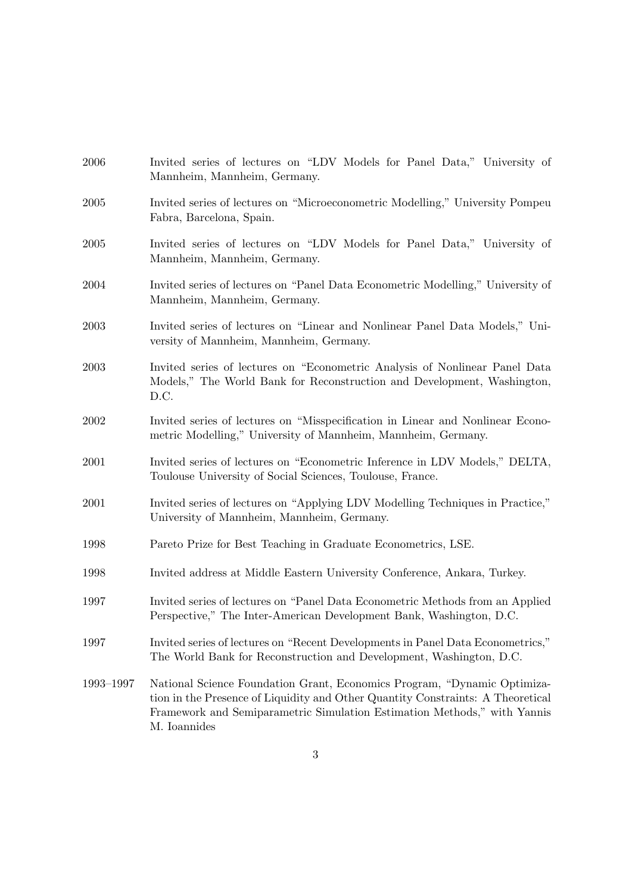| 2006      | Invited series of lectures on "LDV Models for Panel Data," University of<br>Mannheim, Mannheim, Germany.                                                                                                                                                |
|-----------|---------------------------------------------------------------------------------------------------------------------------------------------------------------------------------------------------------------------------------------------------------|
| 2005      | Invited series of lectures on "Microeconometric Modelling," University Pompeu<br>Fabra, Barcelona, Spain.                                                                                                                                               |
| 2005      | Invited series of lectures on "LDV Models for Panel Data," University of<br>Mannheim, Mannheim, Germany.                                                                                                                                                |
| 2004      | Invited series of lectures on "Panel Data Econometric Modelling," University of<br>Mannheim, Mannheim, Germany.                                                                                                                                         |
| 2003      | Invited series of lectures on "Linear and Nonlinear Panel Data Models," Uni-<br>versity of Mannheim, Mannheim, Germany.                                                                                                                                 |
| 2003      | Invited series of lectures on "Econometric Analysis of Nonlinear Panel Data<br>Models," The World Bank for Reconstruction and Development, Washington,<br>D.C.                                                                                          |
| 2002      | Invited series of lectures on "Misspecification in Linear and Nonlinear Econo-<br>metric Modelling," University of Mannheim, Mannheim, Germany.                                                                                                         |
| 2001      | Invited series of lectures on "Econometric Inference in LDV Models," DELTA,<br>Toulouse University of Social Sciences, Toulouse, France.                                                                                                                |
| 2001      | Invited series of lectures on "Applying LDV Modelling Techniques in Practice,"<br>University of Mannheim, Mannheim, Germany.                                                                                                                            |
| 1998      | Pareto Prize for Best Teaching in Graduate Econometrics, LSE.                                                                                                                                                                                           |
| 1998      | Invited address at Middle Eastern University Conference, Ankara, Turkey.                                                                                                                                                                                |
| 1997      | Invited series of lectures on "Panel Data Econometric Methods from an Applied<br>Perspective," The Inter-American Development Bank, Washington, D.C.                                                                                                    |
| 1997      | Invited series of lectures on "Recent Developments in Panel Data Econometrics,"<br>The World Bank for Reconstruction and Development, Washington, D.C.                                                                                                  |
| 1993-1997 | National Science Foundation Grant, Economics Program, "Dynamic Optimiza-<br>tion in the Presence of Liquidity and Other Quantity Constraints: A Theoretical<br>Framework and Semiparametric Simulation Estimation Methods," with Yannis<br>M. Ioannides |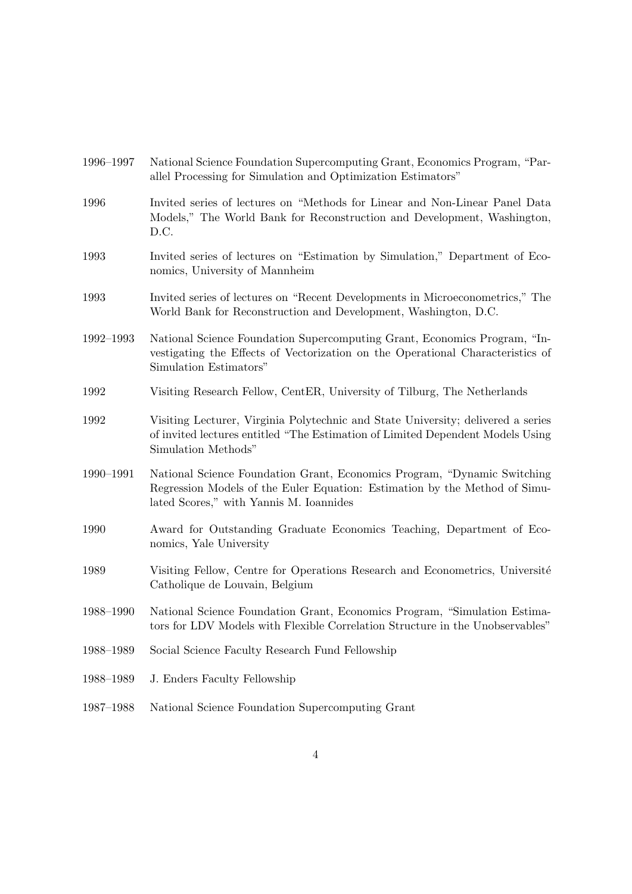| 1 <i>33</i> 0 1331 | Traditial Detence Foundation Dupercomputing Gram, Economics Frogram, Trai-<br>allel Processing for Simulation and Optimization Estimators"                                                         |
|--------------------|----------------------------------------------------------------------------------------------------------------------------------------------------------------------------------------------------|
| 1996               | Invited series of lectures on "Methods for Linear and Non-Linear Panel Data<br>Models," The World Bank for Reconstruction and Development, Washington,<br>D.C.                                     |
| 1993               | Invited series of lectures on "Estimation by Simulation," Department of Eco-<br>nomics, University of Mannheim                                                                                     |
| 1993               | Invited series of lectures on "Recent Developments in Microeconometrics," The<br>World Bank for Reconstruction and Development, Washington, D.C.                                                   |
| 1992-1993          | National Science Foundation Supercomputing Grant, Economics Program, "In-<br>vestigating the Effects of Vectorization on the Operational Characteristics of<br>Simulation Estimators"              |
| 1992               | Visiting Research Fellow, CentER, University of Tilburg, The Netherlands                                                                                                                           |
| 1992               | Visiting Lecturer, Virginia Polytechnic and State University; delivered a series<br>of invited lectures entitled "The Estimation of Limited Dependent Models Using"<br>Simulation Methods"         |
| 1990-1991          | National Science Foundation Grant, Economics Program, "Dynamic Switching"<br>Regression Models of the Euler Equation: Estimation by the Method of Simu-<br>lated Scores," with Yannis M. Ioannides |
| 1990               | Award for Outstanding Graduate Economics Teaching, Department of Eco-<br>nomics, Yale University                                                                                                   |
| 1989               | Visiting Fellow, Centre for Operations Research and Econometrics, Université<br>Catholique de Louvain, Belgium                                                                                     |
| 1988-1990          | National Science Foundation Grant, Economics Program, "Simulation Estima-<br>tors for LDV Models with Flexible Correlation Structure in the Unobservables"                                         |
| 1988-1989          | Social Science Faculty Research Fund Fellowship                                                                                                                                                    |
| 1988-1989          | J. Enders Faculty Fellowship                                                                                                                                                                       |
| 1987-1988          | National Science Foundation Supercomputing Grant                                                                                                                                                   |
|                    |                                                                                                                                                                                                    |

1996–1997 National Science Foundation Supercomputing Grant, Economics Program, "Par-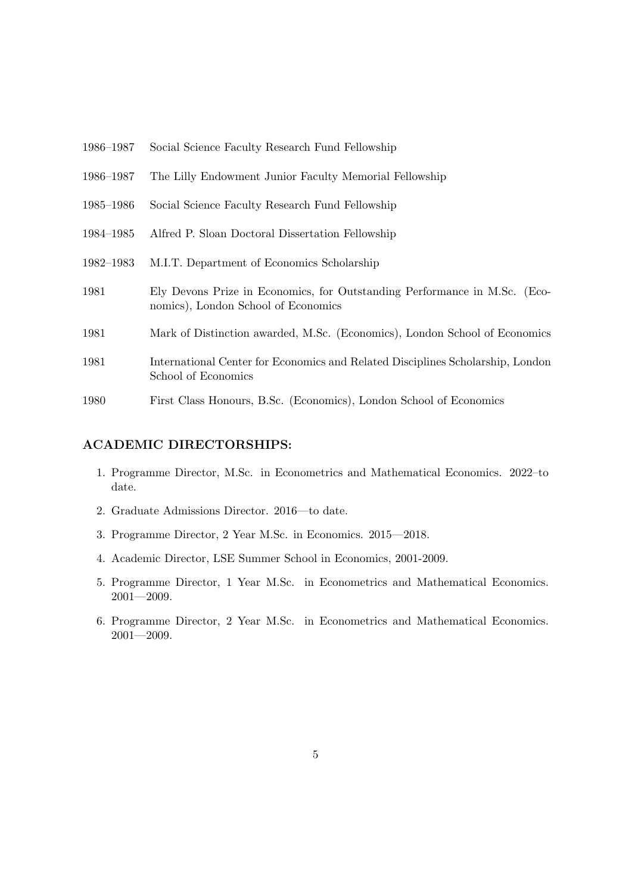- 1986–1987 Social Science Faculty Research Fund Fellowship
- 1986–1987 The Lilly Endowment Junior Faculty Memorial Fellowship
- 1985–1986 Social Science Faculty Research Fund Fellowship
- 1984–1985 Alfred P. Sloan Doctoral Dissertation Fellowship
- 1982–1983 M.I.T. Department of Economics Scholarship
- 1981 Ely Devons Prize in Economics, for Outstanding Performance in M.Sc. (Economics), London School of Economics
- 1981 Mark of Distinction awarded, M.Sc. (Economics), London School of Economics
- 1981 International Center for Economics and Related Disciplines Scholarship, London School of Economics
- 1980 First Class Honours, B.Sc. (Economics), London School of Economics

#### **ACADEMIC DIRECTORSHIPS:**

- 1. Programme Director, M.Sc. in Econometrics and Mathematical Economics. 2022–to date.
- 2. Graduate Admissions Director. 2016—to date.
- 3. Programme Director, 2 Year M.Sc. in Economics. 2015—2018.
- 4. Academic Director, LSE Summer School in Economics, 2001-2009.
- 5. Programme Director, 1 Year M.Sc. in Econometrics and Mathematical Economics.  $2001 - 2009.$
- 6. Programme Director, 2 Year M.Sc. in Econometrics and Mathematical Economics. 2001—2009.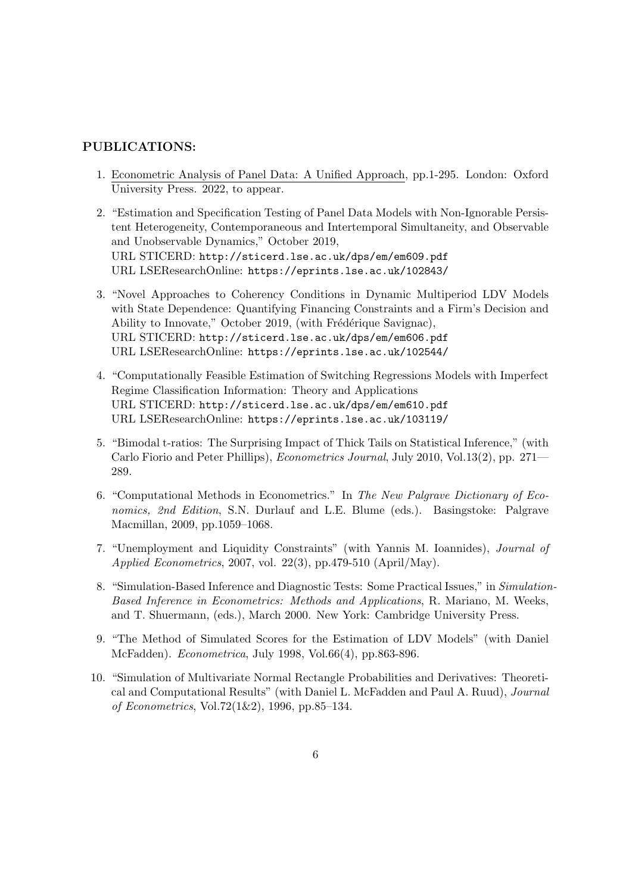# **PUBLICATIONS:**

- 1. Econometric Analysis of Panel Data: A Unified Approach, pp.1-295. London: Oxford University Press. 2022, to appear.
- 2. "Estimation and Specification Testing of Panel Data Models with Non-Ignorable Persistent Heterogeneity, Contemporaneous and Intertemporal Simultaneity, and Observable and Unobservable Dynamics," October 2019, URL STICERD: http://sticerd.lse.ac.uk/dps/em/em609.pdf URL LSEResearchOnline: https://eprints.lse.ac.uk/102843/
- 3. "Novel Approaches to Coherency Conditions in Dynamic Multiperiod LDV Models with State Dependence: Quantifying Financing Constraints and a Firm's Decision and Ability to Innovate," October 2019, (with Frédérique Savignac), URL STICERD: http://sticerd.lse.ac.uk/dps/em/em606.pdf URL LSEResearchOnline: https://eprints.lse.ac.uk/102544/
- 4. "Computationally Feasible Estimation of Switching Regressions Models with Imperfect Regime Classification Information: Theory and Applications URL STICERD: http://sticerd.lse.ac.uk/dps/em/em610.pdf URL LSEResearchOnline: https://eprints.lse.ac.uk/103119/
- 5. "Bimodal t-ratios: The Surprising Impact of Thick Tails on Statistical Inference," (with Carlo Fiorio and Peter Phillips), *Econometrics Journal*, July 2010, Vol.13(2), pp. 271— 289.
- 6. "Computational Methods in Econometrics." In *The New Palgrave Dictionary of Economics, 2nd Edition*, S.N. Durlauf and L.E. Blume (eds.). Basingstoke: Palgrave Macmillan, 2009, pp.1059–1068.
- 7. "Unemployment and Liquidity Constraints" (with Yannis M. Ioannides), *Journal of Applied Econometrics*, 2007, vol. 22(3), pp.479-510 (April/May).
- 8. "Simulation-Based Inference and Diagnostic Tests: Some Practical Issues," in *Simulation-Based Inference in Econometrics: Methods and Applications*, R. Mariano, M. Weeks, and T. Shuermann, (eds.), March 2000. New York: Cambridge University Press.
- 9. "The Method of Simulated Scores for the Estimation of LDV Models" (with Daniel McFadden). *Econometrica*, July 1998, Vol.66(4), pp.863-896.
- 10. "Simulation of Multivariate Normal Rectangle Probabilities and Derivatives: Theoretical and Computational Results" (with Daniel L. McFadden and Paul A. Ruud), *Journal of Econometrics*, Vol.72(1&2), 1996, pp.85–134.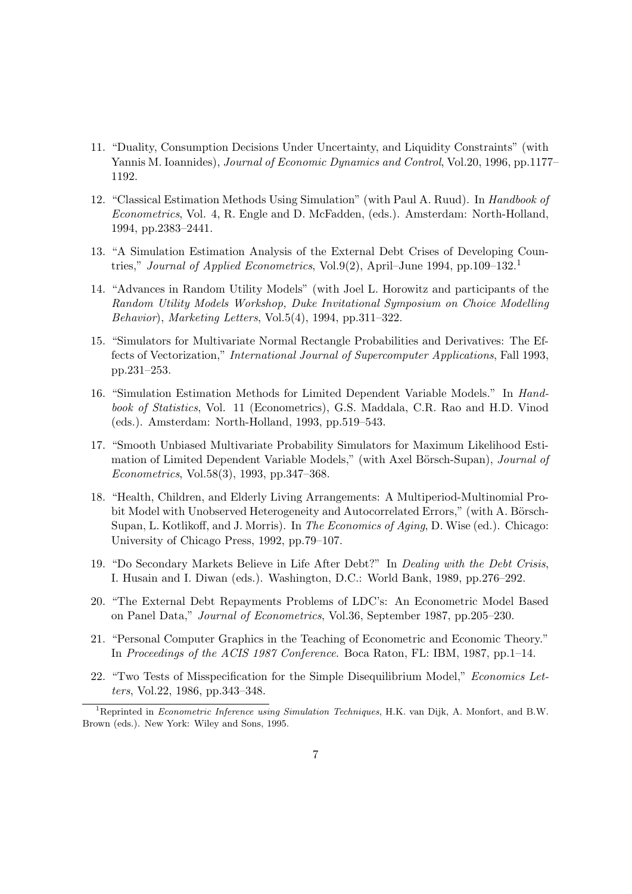- 11. "Duality, Consumption Decisions Under Uncertainty, and Liquidity Constraints" (with Yannis M. Ioannides), *Journal of Economic Dynamics and Control*, Vol.20, 1996, pp.1177– 1192.
- 12. "Classical Estimation Methods Using Simulation" (with Paul A. Ruud). In *Handbook of Econometrics*, Vol. 4, R. Engle and D. McFadden, (eds.). Amsterdam: North-Holland, 1994, pp.2383–2441.
- 13. "A Simulation Estimation Analysis of the External Debt Crises of Developing Countries," *Journal of Applied Econometrics*, Vol.9(2), April–June 1994, pp.109–132.<sup>1</sup>
- 14. "Advances in Random Utility Models" (with Joel L. Horowitz and participants of the *Random Utility Models Workshop, Duke Invitational Symposium on Choice Modelling Behavior*), *Marketing Letters*, Vol.5(4), 1994, pp.311–322.
- 15. "Simulators for Multivariate Normal Rectangle Probabilities and Derivatives: The Effects of Vectorization," *International Journal of Supercomputer Applications*, Fall 1993, pp.231–253.
- 16. "Simulation Estimation Methods for Limited Dependent Variable Models." In *Handbook of Statistics*, Vol. 11 (Econometrics), G.S. Maddala, C.R. Rao and H.D. Vinod (eds.). Amsterdam: North-Holland, 1993, pp.519–543.
- 17. "Smooth Unbiased Multivariate Probability Simulators for Maximum Likelihood Estimation of Limited Dependent Variable Models," (with Axel Börsch-Supan), *Journal of Econometrics*, Vol.58(3), 1993, pp.347–368.
- 18. "Health, Children, and Elderly Living Arrangements: A Multiperiod-Multinomial Probit Model with Unobserved Heterogeneity and Autocorrelated Errors," (with A. Börsch-Supan, L. Kotlikoff, and J. Morris). In *The Economics of Aging*, D. Wise (ed.). Chicago: University of Chicago Press, 1992, pp.79–107.
- 19. "Do Secondary Markets Believe in Life After Debt?" In *Dealing with the Debt Crisis*, I. Husain and I. Diwan (eds.). Washington, D.C.: World Bank, 1989, pp.276–292.
- 20. "The External Debt Repayments Problems of LDC's: An Econometric Model Based on Panel Data," *Journal of Econometrics*, Vol.36, September 1987, pp.205–230.
- 21. "Personal Computer Graphics in the Teaching of Econometric and Economic Theory." In *Proceedings of the ACIS 1987 Conference*. Boca Raton, FL: IBM, 1987, pp.1–14.
- 22. "Two Tests of Misspecification for the Simple Disequilibrium Model," *Economics Letters*, Vol.22, 1986, pp.343–348.

<sup>1</sup>Reprinted in *Econometric Inference using Simulation Techniques*, H.K. van Dijk, A. Monfort, and B.W. Brown (eds.). New York: Wiley and Sons, 1995.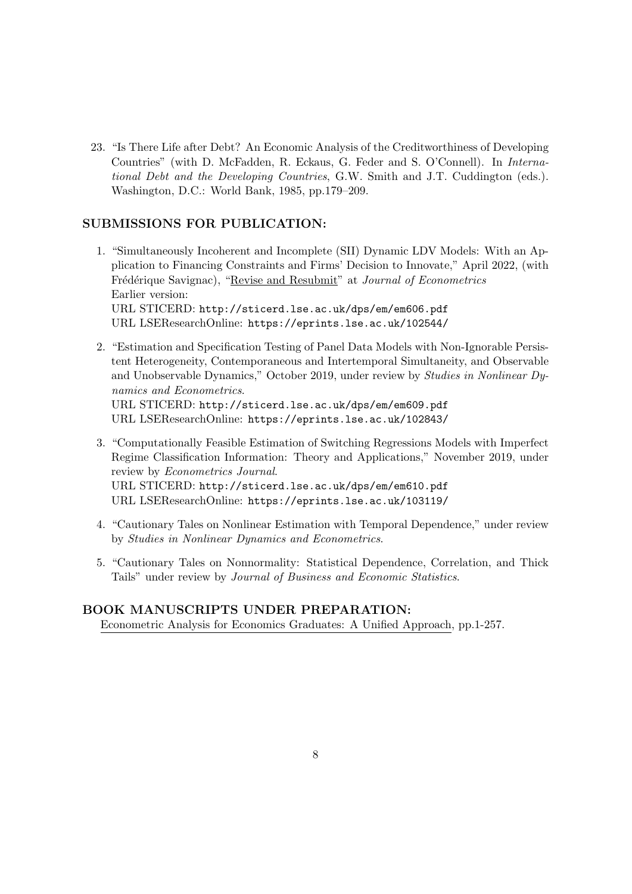23. "Is There Life after Debt? An Economic Analysis of the Creditworthiness of Developing Countries" (with D. McFadden, R. Eckaus, G. Feder and S. O'Connell). In *International Debt and the Developing Countries*, G.W. Smith and J.T. Cuddington (eds.). Washington, D.C.: World Bank, 1985, pp.179–209.

# **SUBMISSIONS FOR PUBLICATION:**

- 1. "Simultaneously Incoherent and Incomplete (SII) Dynamic LDV Models: With an Application to Financing Constraints and Firms' Decision to Innovate," April 2022, (with Frédérique Savignac), "Revise and Resubmit" at *Journal of Econometrics* Earlier version: URL STICERD: http://sticerd.lse.ac.uk/dps/em/em606.pdf URL LSEResearchOnline: https://eprints.lse.ac.uk/102544/
- 2. "Estimation and Specification Testing of Panel Data Models with Non-Ignorable Persistent Heterogeneity, Contemporaneous and Intertemporal Simultaneity, and Observable and Unobservable Dynamics," October 2019, under review by *Studies in Nonlinear Dynamics and Econometrics*. URL STICERD: http://sticerd.lse.ac.uk/dps/em/em609.pdf

URL LSEResearchOnline: https://eprints.lse.ac.uk/102843/

- 3. "Computationally Feasible Estimation of Switching Regressions Models with Imperfect Regime Classification Information: Theory and Applications," November 2019, under review by *Econometrics Journal*. URL STICERD: http://sticerd.lse.ac.uk/dps/em/em610.pdf URL LSEResearchOnline: https://eprints.lse.ac.uk/103119/
- 4. "Cautionary Tales on Nonlinear Estimation with Temporal Dependence," under review by *Studies in Nonlinear Dynamics and Econometrics*.
- 5. "Cautionary Tales on Nonnormality: Statistical Dependence, Correlation, and Thick Tails" under review by *Journal of Business and Economic Statistics*.

# **BOOK MANUSCRIPTS UNDER PREPARATION:** Econometric Analysis for Economics Graduates: A Unified Approach, pp.1-257.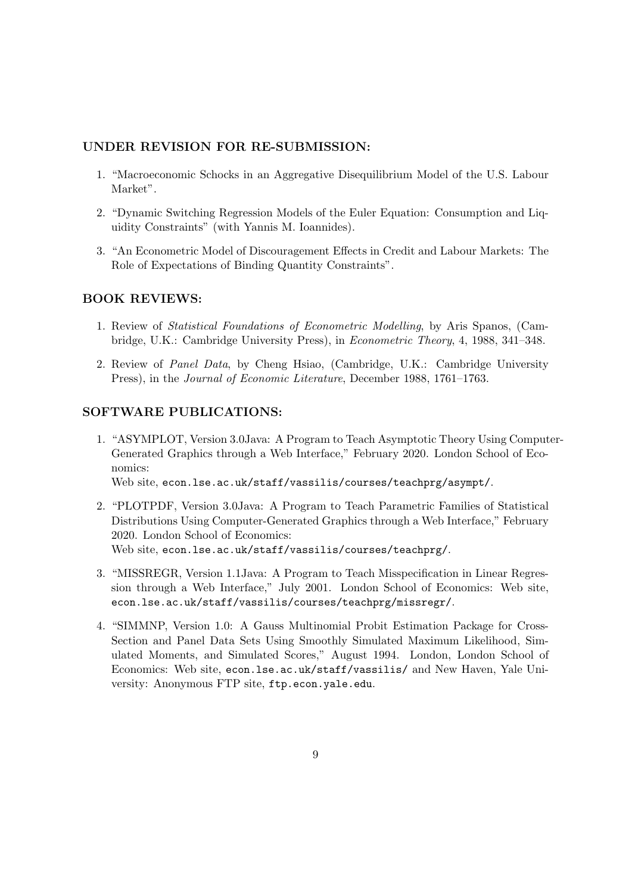# **UNDER REVISION FOR RE-SUBMISSION:**

- 1. "Macroeconomic Schocks in an Aggregative Disequilibrium Model of the U.S. Labour Market".
- 2. "Dynamic Switching Regression Models of the Euler Equation: Consumption and Liquidity Constraints" (with Yannis M. Ioannides).
- 3. "An Econometric Model of Discouragement Effects in Credit and Labour Markets: The Role of Expectations of Binding Quantity Constraints".

#### **BOOK REVIEWS:**

- 1. Review of *Statistical Foundations of Econometric Modelling*, by Aris Spanos, (Cambridge, U.K.: Cambridge University Press), in *Econometric Theory*, 4, 1988, 341–348.
- 2. Review of *Panel Data*, by Cheng Hsiao, (Cambridge, U.K.: Cambridge University Press), in the *Journal of Economic Literature*, December 1988, 1761–1763.

#### **SOFTWARE PUBLICATIONS:**

1. "ASYMPLOT, Version 3.0Java: A Program to Teach Asymptotic Theory Using Computer-Generated Graphics through a Web Interface," February 2020. London School of Economics:

Web site, econ.lse.ac.uk/staff/vassilis/courses/teachprg/asympt/.

- 2. "PLOTPDF, Version 3.0Java: A Program to Teach Parametric Families of Statistical Distributions Using Computer-Generated Graphics through a Web Interface," February 2020. London School of Economics: Web site, econ.lse.ac.uk/staff/vassilis/courses/teachprg/.
- 3. "MISSREGR, Version 1.1Java: A Program to Teach Misspecification in Linear Regression through a Web Interface," July 2001. London School of Economics: Web site, econ.lse.ac.uk/staff/vassilis/courses/teachprg/missregr/.
- 4. "SIMMNP, Version 1.0: A Gauss Multinomial Probit Estimation Package for Cross-Section and Panel Data Sets Using Smoothly Simulated Maximum Likelihood, Simulated Moments, and Simulated Scores," August 1994. London, London School of Economics: Web site, econ.lse.ac.uk/staff/vassilis/ and New Haven, Yale University: Anonymous FTP site, ftp.econ.yale.edu.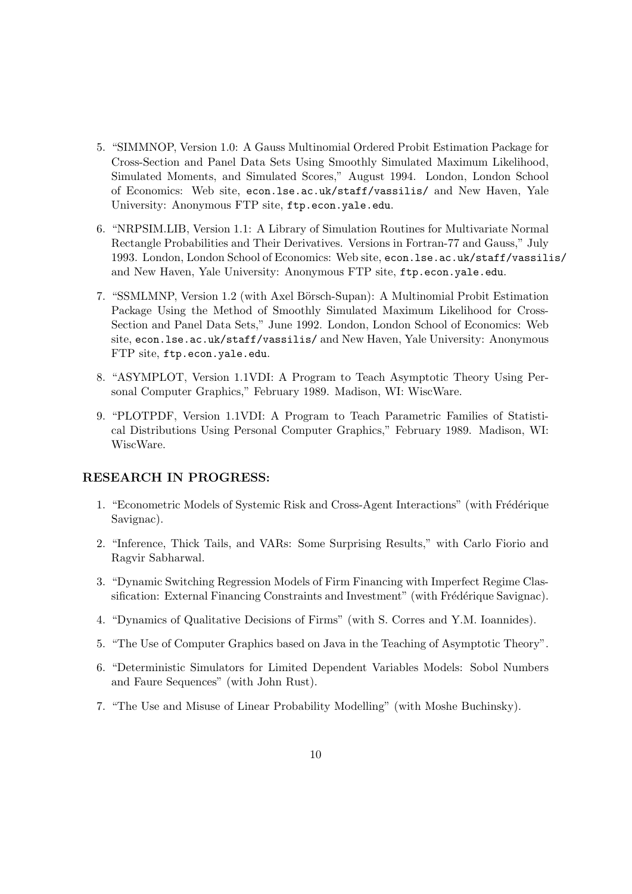- 5. "SIMMNOP, Version 1.0: A Gauss Multinomial Ordered Probit Estimation Package for Cross-Section and Panel Data Sets Using Smoothly Simulated Maximum Likelihood, Simulated Moments, and Simulated Scores," August 1994. London, London School of Economics: Web site, econ.lse.ac.uk/staff/vassilis/ and New Haven, Yale University: Anonymous FTP site, ftp.econ.yale.edu.
- 6. "NRPSIM.LIB, Version 1.1: A Library of Simulation Routines for Multivariate Normal Rectangle Probabilities and Their Derivatives. Versions in Fortran-77 and Gauss," July 1993. London, London School of Economics: Web site, econ.lse.ac.uk/staff/vassilis/ and New Haven, Yale University: Anonymous FTP site, ftp.econ.yale.edu.
- 7. "SSMLMNP, Version 1.2 (with Axel Börsch-Supan): A Multinomial Probit Estimation Package Using the Method of Smoothly Simulated Maximum Likelihood for Cross-Section and Panel Data Sets," June 1992. London, London School of Economics: Web site, econ.lse.ac.uk/staff/vassilis/ and New Haven, Yale University: Anonymous FTP site, ftp.econ.yale.edu.
- 8. "ASYMPLOT, Version 1.1VDI: A Program to Teach Asymptotic Theory Using Personal Computer Graphics," February 1989. Madison, WI: WiscWare.
- 9. "PLOTPDF, Version 1.1VDI: A Program to Teach Parametric Families of Statistical Distributions Using Personal Computer Graphics," February 1989. Madison, WI: WiscWare.

#### **RESEARCH IN PROGRESS:**

- 1. "Econometric Models of Systemic Risk and Cross-Agent Interactions" (with Frédérique Savignac).
- 2. "Inference, Thick Tails, and VARs: Some Surprising Results," with Carlo Fiorio and Ragvir Sabharwal.
- 3. "Dynamic Switching Regression Models of Firm Financing with Imperfect Regime Classification: External Financing Constraints and Investment" (with Frédérique Savignac).
- 4. "Dynamics of Qualitative Decisions of Firms" (with S. Corres and Y.M. Ioannides).
- 5. "The Use of Computer Graphics based on Java in the Teaching of Asymptotic Theory".
- 6. "Deterministic Simulators for Limited Dependent Variables Models: Sobol Numbers and Faure Sequences" (with John Rust).
- 7. "The Use and Misuse of Linear Probability Modelling" (with Moshe Buchinsky).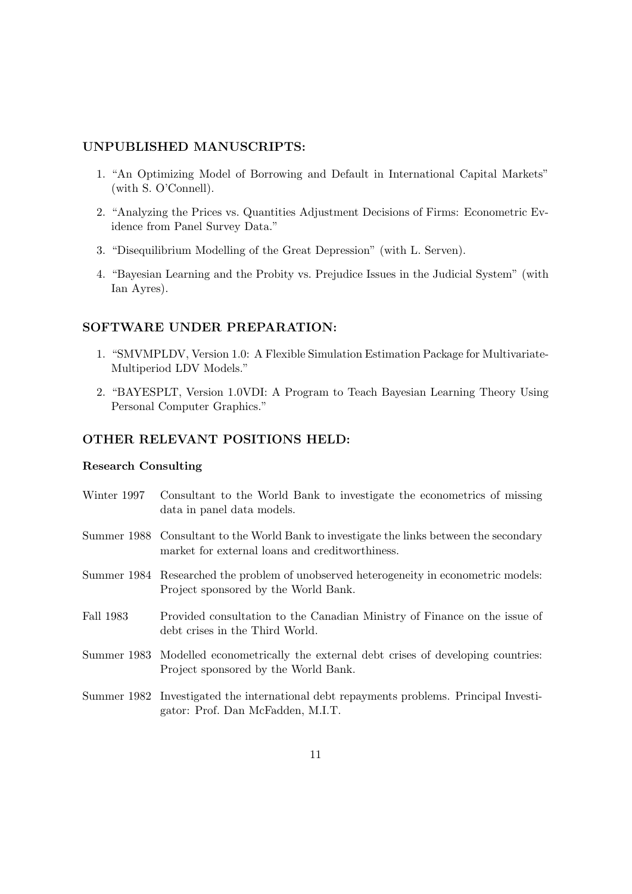# **UNPUBLISHED MANUSCRIPTS:**

- 1. "An Optimizing Model of Borrowing and Default in International Capital Markets" (with S. O'Connell).
- 2. "Analyzing the Prices vs. Quantities Adjustment Decisions of Firms: Econometric Evidence from Panel Survey Data."
- 3. "Disequilibrium Modelling of the Great Depression" (with L. Serven).
- 4. "Bayesian Learning and the Probity vs. Prejudice Issues in the Judicial System" (with Ian Ayres).

#### **SOFTWARE UNDER PREPARATION:**

- 1. "SMVMPLDV, Version 1.0: A Flexible Simulation Estimation Package for Multivariate-Multiperiod LDV Models."
- 2. "BAYESPLT, Version 1.0VDI: A Program to Teach Bayesian Learning Theory Using Personal Computer Graphics."

#### **OTHER RELEVANT POSITIONS HELD:**

#### **Research Consulting**

- Winter 1997 Consultant to the World Bank to investigate the econometrics of missing data in panel data models.
- Summer 1988 Consultant to the World Bank to investigate the links between the secondary market for external loans and creditworthiness.
- Summer 1984 Researched the problem of unobserved heterogeneity in econometric models: Project sponsored by the World Bank.
- Fall 1983 Provided consultation to the Canadian Ministry of Finance on the issue of debt crises in the Third World.
- Summer 1983 Modelled econometrically the external debt crises of developing countries: Project sponsored by the World Bank.
- Summer 1982 Investigated the international debt repayments problems. Principal Investigator: Prof. Dan McFadden, M.I.T.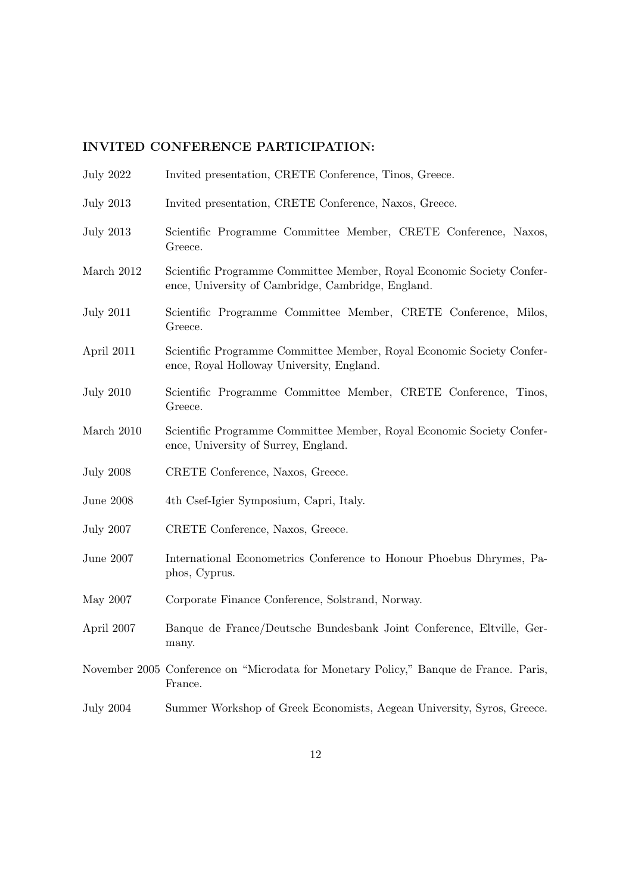# **INVITED CONFERENCE PARTICIPATION:**

- July 2022 Invited presentation, CRETE Conference, Tinos, Greece.
- July 2013 Invited presentation, CRETE Conference, Naxos, Greece.
- July 2013 Scientific Programme Committee Member, CRETE Conference, Naxos, Greece.
- March 2012 Scientific Programme Committee Member, Royal Economic Society Conference, University of Cambridge, Cambridge, England.
- July 2011 Scientific Programme Committee Member, CRETE Conference, Milos, Greece.
- April 2011 Scientific Programme Committee Member, Royal Economic Society Conference, Royal Holloway University, England.
- July 2010 Scientific Programme Committee Member, CRETE Conference, Tinos, Greece.
- March 2010 Scientific Programme Committee Member, Royal Economic Society Conference, University of Surrey, England.
- July 2008 CRETE Conference, Naxos, Greece.
- June 2008 4th Csef-Igier Symposium, Capri, Italy.
- July 2007 CRETE Conference, Naxos, Greece.
- June 2007 International Econometrics Conference to Honour Phoebus Dhrymes, Paphos, Cyprus.
- May 2007 Corporate Finance Conference, Solstrand, Norway.
- April 2007 Banque de France/Deutsche Bundesbank Joint Conference, Eltville, Germany.
- November 2005 Conference on "Microdata for Monetary Policy," Banque de France. Paris, France.
- July 2004 Summer Workshop of Greek Economists, Aegean University, Syros, Greece.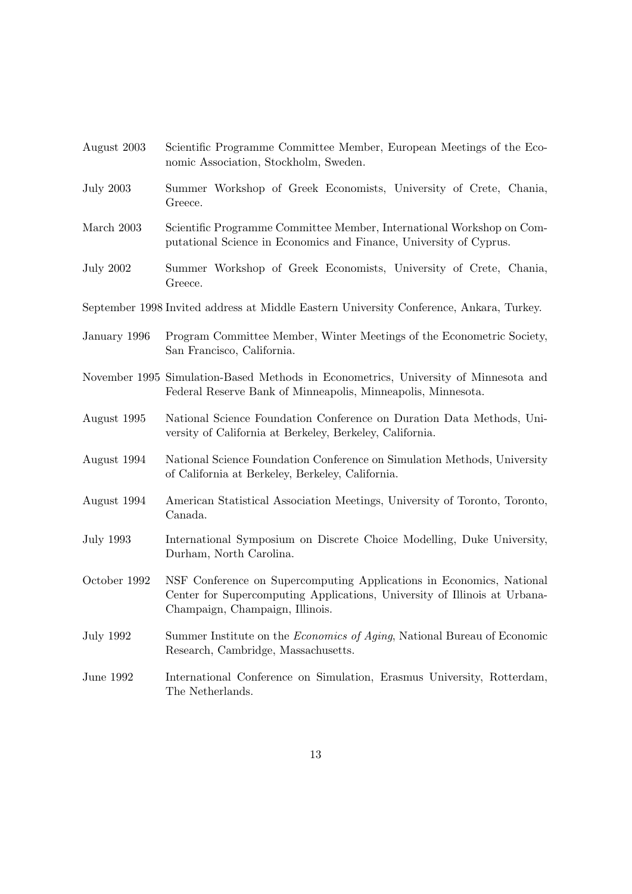| August 2003      | Scientific Programme Committee Member, European Meetings of the Eco-<br>nomic Association, Stockholm, Sweden.                                                                        |
|------------------|--------------------------------------------------------------------------------------------------------------------------------------------------------------------------------------|
| <b>July 2003</b> | Summer Workshop of Greek Economists, University of Crete, Chania,<br>Greece.                                                                                                         |
| March 2003       | Scientific Programme Committee Member, International Workshop on Com-<br>putational Science in Economics and Finance, University of Cyprus.                                          |
| <b>July 2002</b> | Summer Workshop of Greek Economists, University of Crete, Chania,<br>Greece.                                                                                                         |
|                  | September 1998 Invited address at Middle Eastern University Conference, Ankara, Turkey.                                                                                              |
| January 1996     | Program Committee Member, Winter Meetings of the Econometric Society,<br>San Francisco, California.                                                                                  |
|                  | November 1995 Simulation-Based Methods in Econometrics, University of Minnesota and<br>Federal Reserve Bank of Minneapolis, Minneapolis, Minnesota.                                  |
| August 1995      | National Science Foundation Conference on Duration Data Methods, Uni-<br>versity of California at Berkeley, Berkeley, California.                                                    |
| August 1994      | National Science Foundation Conference on Simulation Methods, University<br>of California at Berkeley, Berkeley, California.                                                         |
| August 1994      | American Statistical Association Meetings, University of Toronto, Toronto,<br>Canada.                                                                                                |
| <b>July 1993</b> | International Symposium on Discrete Choice Modelling, Duke University,<br>Durham, North Carolina.                                                                                    |
| October 1992     | NSF Conference on Supercomputing Applications in Economics, National<br>Center for Supercomputing Applications, University of Illinois at Urbana-<br>Champaign, Champaign, Illinois. |
| July 1992        | Summer Institute on the <i>Economics of Aging</i> , National Bureau of Economic<br>Research, Cambridge, Massachusetts.                                                               |
| June 1992        | International Conference on Simulation, Erasmus University, Rotterdam,<br>The Netherlands.                                                                                           |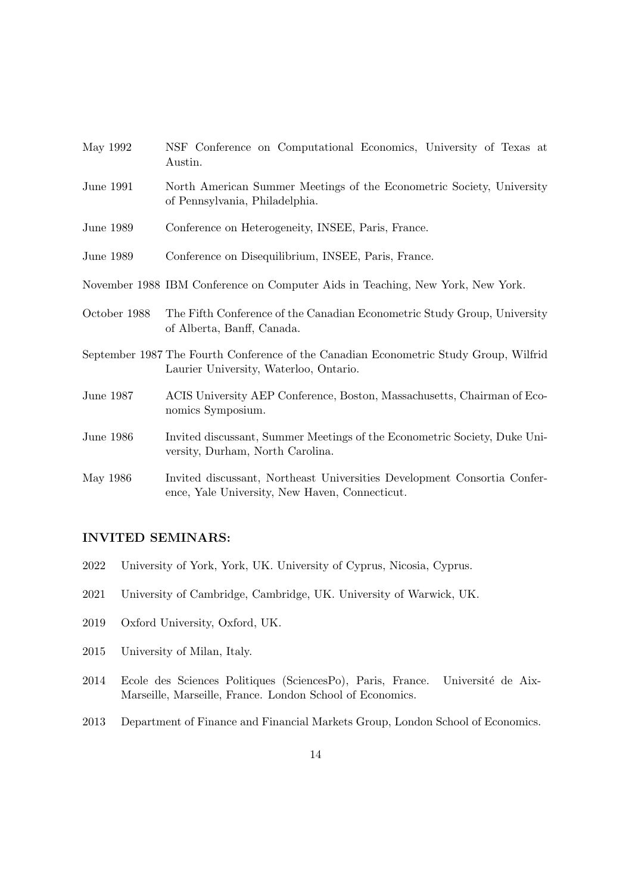| May 1992     | NSF Conference on Computational Economics, University of Texas at<br>Austin.                                                    |
|--------------|---------------------------------------------------------------------------------------------------------------------------------|
| June 1991    | North American Summer Meetings of the Econometric Society, University<br>of Pennsylvania, Philadelphia.                         |
| June 1989    | Conference on Heterogeneity, INSEE, Paris, France.                                                                              |
| June 1989    | Conference on Disequilibrium, INSEE, Paris, France.                                                                             |
|              | November 1988 IBM Conference on Computer Aids in Teaching, New York, New York.                                                  |
| October 1988 | The Fifth Conference of the Canadian Econometric Study Group, University<br>of Alberta, Banff, Canada.                          |
|              | September 1987 The Fourth Conference of the Canadian Econometric Study Group, Wilfrid<br>Laurier University, Waterloo, Ontario. |
| June 1987    | ACIS University AEP Conference, Boston, Massachusetts, Chairman of Eco-<br>nomics Symposium.                                    |
| June 1986    | Invited discussant, Summer Meetings of the Econometric Society, Duke Uni-<br>versity, Durham, North Carolina.                   |
| May 1986     | Invited discussant, Northeast Universities Development Consortia Confer-<br>ence, Yale University, New Haven, Connecticut.      |

# **INVITED SEMINARS:**

- 2022 University of York, York, UK. University of Cyprus, Nicosia, Cyprus.
- 2021 University of Cambridge, Cambridge, UK. University of Warwick, UK.
- 2019 Oxford University, Oxford, UK.
- 2015 University of Milan, Italy.
- 2014 Ecole des Sciences Politiques (SciencesPo), Paris, France. Université de Aix-Marseille, Marseille, France. London School of Economics.
- 2013 Department of Finance and Financial Markets Group, London School of Economics.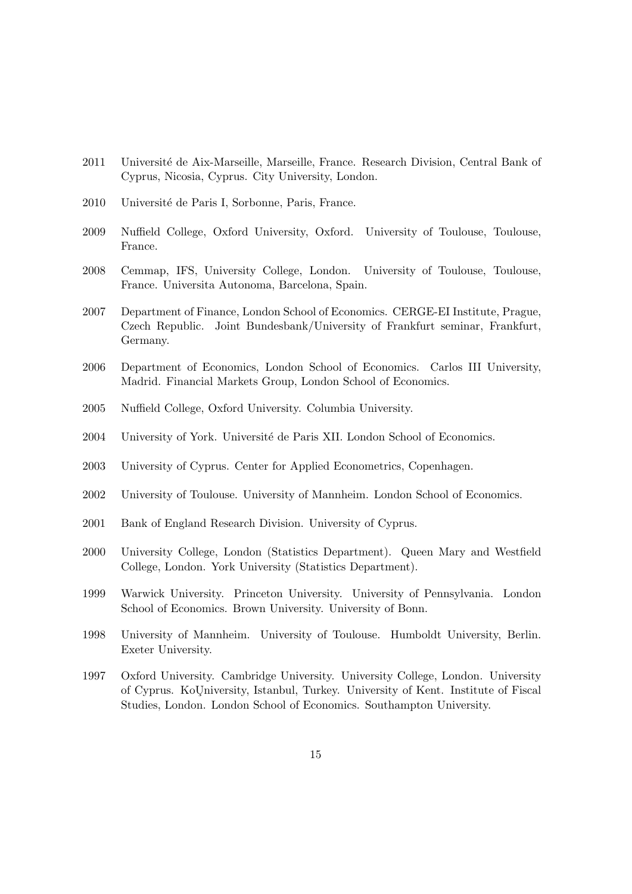- 2011 Université de Aix-Marseille, Marseille, France. Research Division, Central Bank of Cyprus, Nicosia, Cyprus. City University, London.
- 2010 Université de Paris I, Sorbonne, Paris, France.
- 2009 Nuffield College, Oxford University, Oxford. University of Toulouse, Toulouse, France.
- 2008 Cemmap, IFS, University College, London. University of Toulouse, Toulouse, France. Universita Autonoma, Barcelona, Spain.
- 2007 Department of Finance, London School of Economics. CERGE-EI Institute, Prague, Czech Republic. Joint Bundesbank/University of Frankfurt seminar, Frankfurt, Germany.
- 2006 Department of Economics, London School of Economics. Carlos III University, Madrid. Financial Markets Group, London School of Economics.
- 2005 Nuffield College, Oxford University. Columbia University.
- 2004 University of York. Université de Paris XII. London School of Economics.
- 2003 University of Cyprus. Center for Applied Econometrics, Copenhagen.
- 2002 University of Toulouse. University of Mannheim. London School of Economics.
- 2001 Bank of England Research Division. University of Cyprus.
- 2000 University College, London (Statistics Department). Queen Mary and Westfield College, London. York University (Statistics Department).
- 1999 Warwick University. Princeton University. University of Pennsylvania. London School of Economics. Brown University. University of Bonn.
- 1998 University of Mannheim. University of Toulouse. Humboldt University, Berlin. Exeter University.
- 1997 Oxford University. Cambridge University. University College, London. University of Cyprus. KoUniversity, Istanbul, Turkey. University of Kent. Institute of Fiscal Studies, London. London School of Economics. Southampton University.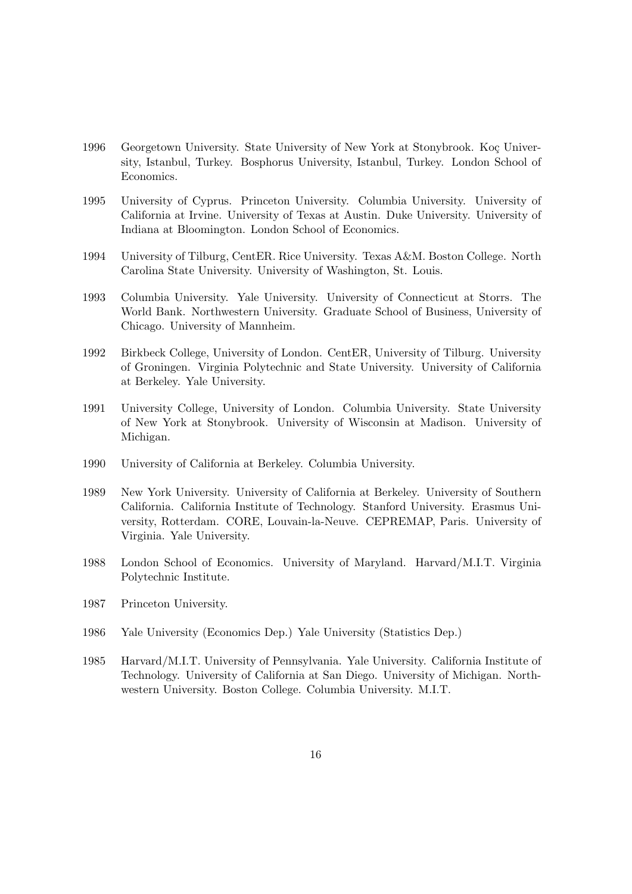- 1996 Georgetown University. State University of New York at Stonybrook. Koç University, Istanbul, Turkey. Bosphorus University, Istanbul, Turkey. London School of Economics.
- 1995 University of Cyprus. Princeton University. Columbia University. University of California at Irvine. University of Texas at Austin. Duke University. University of Indiana at Bloomington. London School of Economics.
- 1994 University of Tilburg, CentER. Rice University. Texas A&M. Boston College. North Carolina State University. University of Washington, St. Louis.
- 1993 Columbia University. Yale University. University of Connecticut at Storrs. The World Bank. Northwestern University. Graduate School of Business, University of Chicago. University of Mannheim.
- 1992 Birkbeck College, University of London. CentER, University of Tilburg. University of Groningen. Virginia Polytechnic and State University. University of California at Berkeley. Yale University.
- 1991 University College, University of London. Columbia University. State University of New York at Stonybrook. University of Wisconsin at Madison. University of Michigan.
- 1990 University of California at Berkeley. Columbia University.
- 1989 New York University. University of California at Berkeley. University of Southern California. California Institute of Technology. Stanford University. Erasmus University, Rotterdam. CORE, Louvain-la-Neuve. CEPREMAP, Paris. University of Virginia. Yale University.
- 1988 London School of Economics. University of Maryland. Harvard/M.I.T. Virginia Polytechnic Institute.
- 1987 Princeton University.
- 1986 Yale University (Economics Dep.) Yale University (Statistics Dep.)
- 1985 Harvard/M.I.T. University of Pennsylvania. Yale University. California Institute of Technology. University of California at San Diego. University of Michigan. Northwestern University. Boston College. Columbia University. M.I.T.